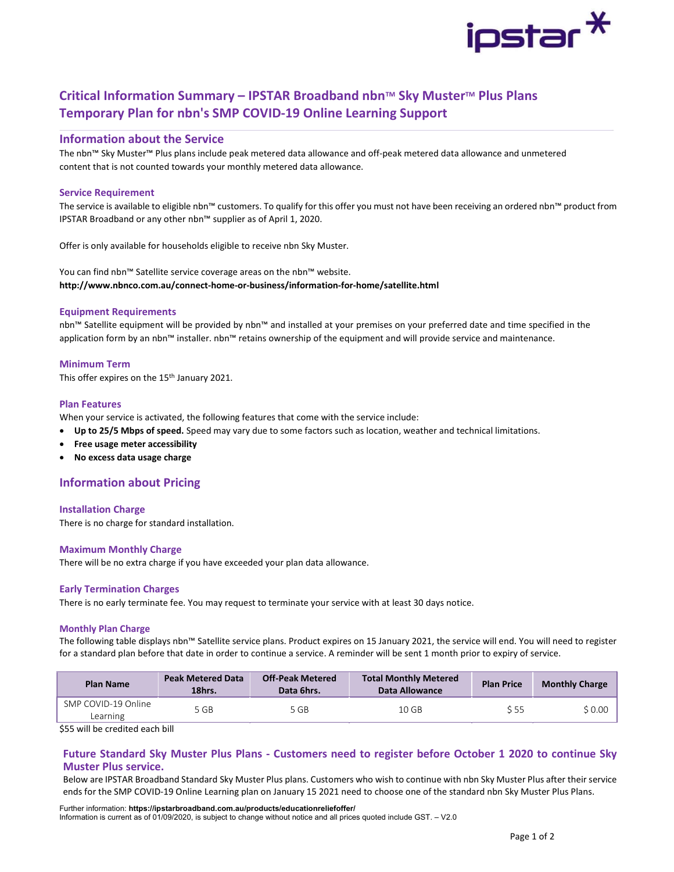

# Critical Information Summary – IPSTAR Broadband nbn™ Sky Muster™ Plus Plans Temporary Plan for nbn's SMP COVID-19 Online Learning Support

# Information about the Service

The nbn™ Sky Muster™ Plus plans include peak metered data allowance and off-peak metered data allowance and unmetered content that is not counted towards your monthly metered data allowance.

# Service Requirement

The service is available to eligible nbn™ customers. To qualify for this offer you must not have been receiving an ordered nbn™ product from IPSTAR Broadband or any other nbn™ supplier as of April 1, 2020.

Offer is only available for households eligible to receive nbn Sky Muster.

You can find nbn™ Satellite service coverage areas on the nbn™ website. http://www.nbnco.com.au/connect-home-or-business/information-for-home/satellite.html

# Equipment Requirements

nbn™ Satellite equipment will be provided by nbn™ and installed at your premises on your preferred date and time specified in the application form by an nbn™ installer. nbn™ retains ownership of the equipment and will provide service and maintenance.

# Minimum Term

This offer expires on the 15<sup>th</sup> January 2021.

### Plan Features

When your service is activated, the following features that come with the service include:

- Up to 25/5 Mbps of speed. Speed may vary due to some factors such as location, weather and technical limitations.
- Free usage meter accessibility
- No excess data usage charge

# Information about Pricing

### Installation Charge

There is no charge for standard installation.

### Maximum Monthly Charge

There will be no extra charge if you have exceeded your plan data allowance.

### Early Termination Charges

There is no early terminate fee. You may request to terminate your service with at least 30 days notice.

#### Monthly Plan Charge

The following table displays nbn™ Satellite service plans. Product expires on 15 January 2021, the service will end. You will need to register for a standard plan before that date in order to continue a service. A reminder will be sent 1 month prior to expiry of service.

| <b>Plan Name</b>                | <b>Peak Metered Data</b><br>18hrs. | <b>Off-Peak Metered</b><br>Data 6hrs. | <b>Total Monthly Metered</b><br>Data Allowance | <b>Plan Price</b> | <b>Monthly Charge</b> |  |
|---------------------------------|------------------------------------|---------------------------------------|------------------------------------------------|-------------------|-----------------------|--|
| SMP COVID-19 Online<br>Learning | 5 GB                               | 5 GB                                  | 10 GB                                          | S 55              | \$0.00                |  |

\$55 will be credited each bill

# Future Standard Sky Muster Plus Plans - Customers need to register before October 1 2020 to continue Sky Muster Plus service.

Below are IPSTAR Broadband Standard Sky Muster Plus plans. Customers who wish to continue with nbn Sky Muster Plus after their service ends for the SMP COVID-19 Online Learning plan on January 15 2021 need to choose one of the standard nbn Sky Muster Plus Plans.

Further information: https://ipstarbroadband.com.au/products/educationreliefoffer/ Information is current as of 01/09/2020, is subject to change without notice and all prices quoted include GST. – V2.0